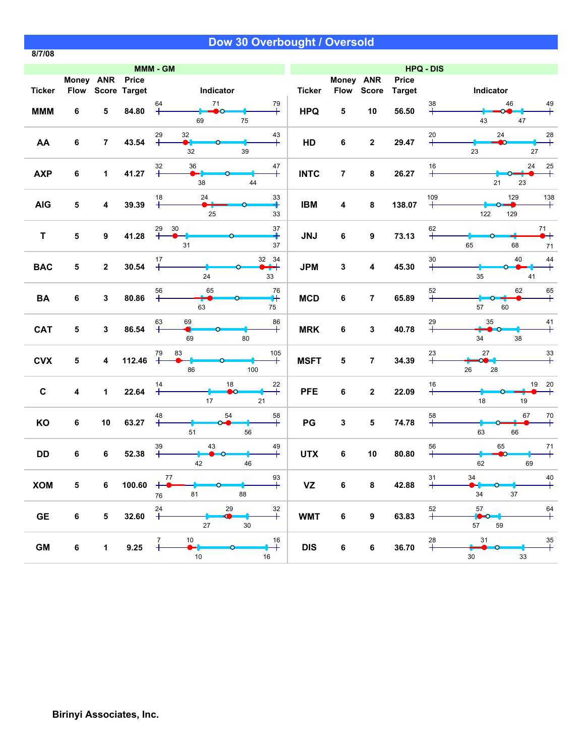**8/7/08**

|               | MMM - GM        |                 |                   |                                                                                                                                                                                            |               |                |                  |                        | <b>HPQ - DIS</b>                        |                                            |
|---------------|-----------------|-----------------|-------------------|--------------------------------------------------------------------------------------------------------------------------------------------------------------------------------------------|---------------|----------------|------------------|------------------------|-----------------------------------------|--------------------------------------------|
| <b>Ticker</b> | Money ANR Price |                 | Flow Score Target | Indicator                                                                                                                                                                                  | <b>Ticker</b> | Money ANR      | Flow Score       | Price<br><b>Target</b> | Indicator                               |                                            |
| <b>MMM</b>    | 6               | 5               | 84.80             | 64<br>71<br>79<br>$\pm$<br>╄<br>DO-<br>75<br>69                                                                                                                                            | <b>HPQ</b>    | 5              | 10               | 56.50                  | 38<br>43                                | 46<br>$\overset{49}{+}$<br>47              |
| AA            | 6               | $\overline{7}$  | 43.54             | 32<br>$29 +$<br>$\overset{43}{+}$<br>H<br>32<br>39                                                                                                                                         | HD            | 6              | $\mathbf{2}$     | 29.47                  | $20 +$<br>23                            | 24<br>$^{28}_{+}$<br>27                    |
| <b>AXP</b>    | 6               | $\mathbf{1}$    | 41.27             | 32<br>36<br>47<br>$+$<br>╄<br>38<br>44                                                                                                                                                     | <b>INTC</b>   | $\overline{7}$ | 8                | 26.27                  | $16\,$<br>$\overline{+}$                | 24<br>$\overset{25}{+}$<br>21<br>23        |
| <b>AIG</b>    | 5               | 4               | 39.39             | 24<br>33<br>18<br>╇<br>25<br>33                                                                                                                                                            | <b>IBM</b>    | 4              | 8                | 138.07                 | 109<br>$\boldsymbol{+}$<br>122          | 129<br>138<br>129                          |
| $\mathsf T$   | 5               | 9               | 41.28             | 37<br>30<br>$29 +$<br>∔<br>31<br>37                                                                                                                                                        | <b>JNJ</b>    | 6              | 9                | 73.13                  | $+$ <sup>62</sup><br>65                 | $\overset{71}{\bullet}$<br>68<br>$71$      |
| <b>BAC</b>    | 5               | $\mathbf{2}$    | 30.54             | 32 34<br>$17$<br>$+$<br>$+$<br>24<br>33                                                                                                                                                    | <b>JPM</b>    | 3              | 4                | 45.30                  | $30 +$<br>35                            | 40<br>$\ddot{+}$<br>41                     |
| <b>BA</b>     | 6               | 3               | 80.86             | 76<br>65<br>56<br>$\ddot{}$<br>63<br>75                                                                                                                                                    | <b>MCD</b>    | 6              | $\overline{7}$   | 65.89                  | $52$<br>$+$<br>57                       | 62<br>$+$<br>60                            |
| <b>CAT</b>    | 5               | 3               | 86.54             | 69<br>63<br>86<br>$\,{}^+$<br>╇<br>69<br>80                                                                                                                                                | <b>MRK</b>    | 6              | 3                | 40.78                  | $29 +$<br>35<br>34                      | $\overset{41}{+}$<br>$\Omega$<br>38        |
| <b>CVX</b>    | 5               | 4               | 112.46            | 83<br>105<br>79<br>$\, + \,$<br>86<br>100                                                                                                                                                  | <b>MSFT</b>   | 5              | $\overline{7}$   | 34.39                  | 27<br>$23 +$<br><b>CO-1</b><br>26<br>28 | $33 +$                                     |
| $\mathbf{C}$  | 4               | $\mathbf 1$     | 22.64             | 18<br>14<br>22<br>$\ddag$<br>∩<br>17<br>21                                                                                                                                                 | <b>PFE</b>    | 6              | $\overline{2}$   | 22.09                  | $16\,$<br>$\ddot{}$<br>18               | 19<br>$\frac{20}{4}$<br>$19$               |
| KO            | 6               | 10              | 63.27             | 54<br>48<br>58<br>$\overline{+}$<br>$\ddag$<br>51<br>56                                                                                                                                    | PG            | 3              | 5                | 74.78                  | 58<br>$^{+}$<br>63                      | 67<br>$\overline{+}^{70}$<br>66            |
| DD            | 6               | 6               | 52.38             | $39 +$<br>43<br>49<br>$\mathrm{+}$<br>$\bullet$ 0<br>42<br>46                                                                                                                              | <b>UTX</b>    | 6              | 10               | 80.80                  | 56<br>$+$<br>62                         | 65<br>$\overline{+}$<br>$\mathbf{D}$<br>69 |
| <b>XOM</b>    | 5               | 6               | 100.60            | $3+$<br>$\begin{array}{c}\n77 \\ \hline\n\end{array}$<br>$\begin{array}{c c c c c} \hline \textbf{---} & \textbf{---} & \textbf{---} & \textbf{---} \end{array}$<br>$+°$<br>81<br>88<br>76 | <b>VZ</b>     | 6              | 8                | 42.88                  | 34<br>31<br>34                          | $+10$<br>37                                |
| <b>GE</b>     | 6               | $5\phantom{.0}$ | 32.60             | 24<br>29<br>$\overset{32}{+}$<br>$+$<br>$\bullet$<br>27<br>30                                                                                                                              | <b>WMT</b>    | $\bf 6$        | $\boldsymbol{9}$ | 63.83                  | 57<br>$52$<br>$+$<br>$\bullet$<br>57    | $+$ <sup>64</sup><br>59                    |
| GM            | $\bf 6$         | $1 -$           | 9.25              | $\overline{\phantom{a}}$<br>16<br>$\ddot{+}$<br>$10\,$<br>16                                                                                                                               | <b>DIS</b>    | 6              | $\bf 6$          | 36.70                  | 31<br>28<br>30                          | $\overset{35}{+}$<br>$33\,$                |